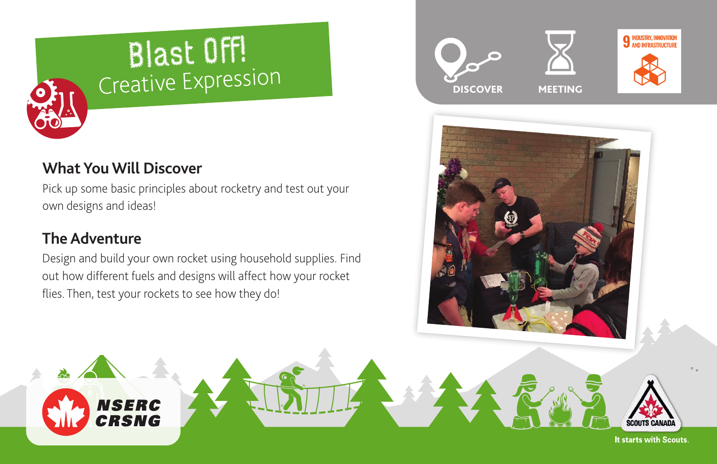# Blast Off! Creative Expression

## **What You Will Discover**

**NSERC** CRSNG

Pick up some basic principles about rocketry and test out your own designs and ideas!

# **The Adventure**

Design and build your own rocket using household supplies. Find out how different fuels and designs will affect how your rocket flies. Then, test your rockets to see how they do!





It starts with Scouts.